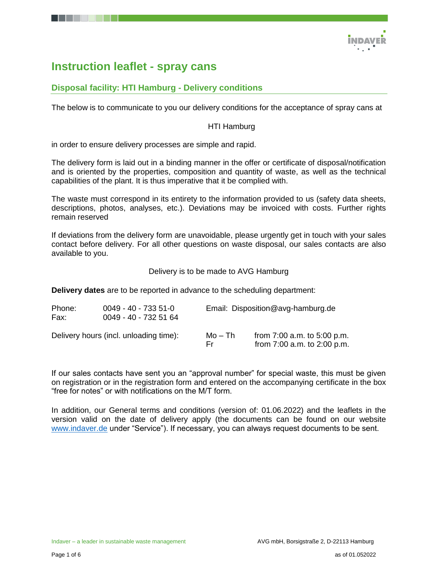

# **Instruction leaflet - spray cans**

# **Disposal facility: HTI Hamburg - Delivery conditions**

The below is to communicate to you our delivery conditions for the acceptance of spray cans at

#### HTI Hamburg

in order to ensure delivery processes are simple and rapid.

The delivery form is laid out in a binding manner in the offer or certificate of disposal/notification and is oriented by the properties, composition and quantity of waste, as well as the technical capabilities of the plant. It is thus imperative that it be complied with.

The waste must correspond in its entirety to the information provided to us (safety data sheets, descriptions, photos, analyses, etc.). Deviations may be invoiced with costs. Further rights remain reserved

If deviations from the delivery form are unavoidable, please urgently get in touch with your sales contact before delivery. For all other questions on waste disposal, our sales contacts are also available to you.

Delivery is to be made to AVG Hamburg

**Delivery dates** are to be reported in advance to the scheduling department:

| Phone:<br>Fax: | $0049 - 40 - 7335 - 51 - 0$<br>0049 - 40 - 732 51 64 |                | Email: Disposition@avg-hamburg.de                              |  |  |
|----------------|------------------------------------------------------|----------------|----------------------------------------------------------------|--|--|
|                | Delivery hours (incl. unloading time):               | Mo – Th<br>Er. | from $7:00$ a.m. to $5:00$ p.m.<br>from 7:00 a.m. to 2:00 p.m. |  |  |

If our sales contacts have sent you an "approval number" for special waste, this must be given on registration or in the registration form and entered on the accompanying certificate in the box "free for notes" or with notifications on the M/T form.

In addition, our General terms and conditions (version of: 01.06.2022) and the leaflets in the version valid on the date of delivery apply (the documents can be found on our website [www.indaver.de](http://www.indaver.de/) under "Service"). If necessary, you can always request documents to be sent.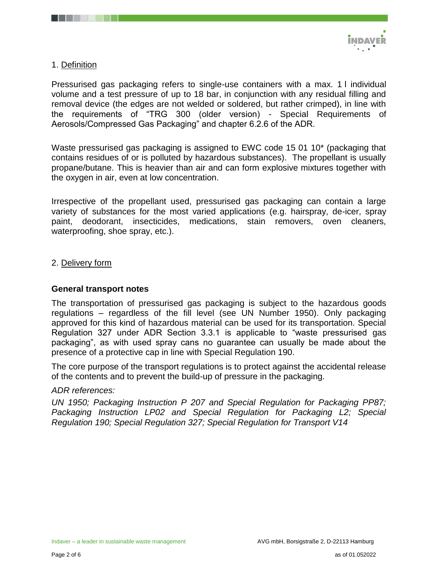

# 1. Definition

Pressurised gas packaging refers to single-use containers with a max. 1 l individual volume and a test pressure of up to 18 bar, in conjunction with any residual filling and removal device (the edges are not welded or soldered, but rather crimped), in line with the requirements of "TRG 300 (older version) - Special Requirements of Aerosols/Compressed Gas Packaging" and chapter 6.2.6 of the ADR.

Waste pressurised gas packaging is assigned to EWC code 15 01 10\* (packaging that contains residues of or is polluted by hazardous substances). The propellant is usually propane/butane. This is heavier than air and can form explosive mixtures together with the oxygen in air, even at low concentration.

Irrespective of the propellant used, pressurised gas packaging can contain a large variety of substances for the most varied applications (e.g. hairspray, de-icer, spray paint, deodorant, insecticides, medications, stain removers, oven cleaners, waterproofing, shoe spray, etc.).

## 2. Delivery form

## **General transport notes**

The transportation of pressurised gas packaging is subject to the hazardous goods regulations – regardless of the fill level (see UN Number 1950). Only packaging approved for this kind of hazardous material can be used for its transportation. Special Regulation 327 under ADR Section 3.3.1 is applicable to "waste pressurised gas packaging", as with used spray cans no guarantee can usually be made about the presence of a protective cap in line with Special Regulation 190.

The core purpose of the transport regulations is to protect against the accidental release of the contents and to prevent the build-up of pressure in the packaging.

## *ADR references:*

*UN 1950; Packaging Instruction P 207 and Special Regulation for Packaging PP87; Packaging Instruction LP02 and Special Regulation for Packaging L2; Special Regulation 190; Special Regulation 327; Special Regulation for Transport V14*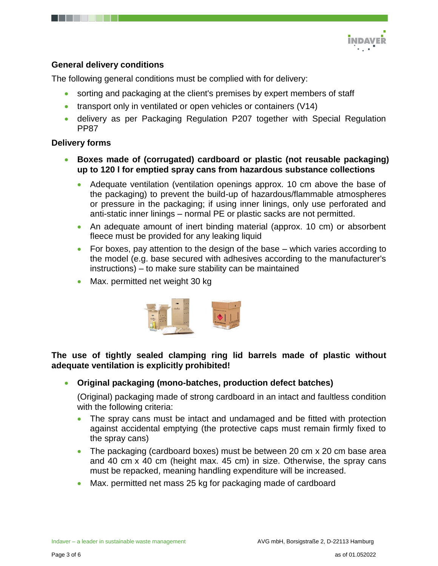

# **General delivery conditions**

The following general conditions must be complied with for delivery:

- sorting and packaging at the client's premises by expert members of staff
- $\bullet$  transport only in ventilated or open vehicles or containers (V14)
- delivery as per Packaging Regulation P207 together with Special Regulation PP87

# **Delivery forms**

- **Boxes made of (corrugated) cardboard or plastic (not reusable packaging) up to 120 l for emptied spray cans from hazardous substance collections**
	- Adequate ventilation (ventilation openings approx. 10 cm above the base of the packaging) to prevent the build-up of hazardous/flammable atmospheres or pressure in the packaging; if using inner linings, only use perforated and anti-static inner linings – normal PE or plastic sacks are not permitted.
	- An adequate amount of inert binding material (approx. 10 cm) or absorbent fleece must be provided for any leaking liquid
	- For boxes, pay attention to the design of the base  $-$  which varies according to the model (e.g. base secured with adhesives according to the manufacturer's instructions) – to make sure stability can be maintained
	- Max. permitted net weight 30 kg



# **The use of tightly sealed clamping ring lid barrels made of plastic without adequate ventilation is explicitly prohibited!**

**Original packaging (mono-batches, production defect batches)**

(Original) packaging made of strong cardboard in an intact and faultless condition with the following criteria:

- The spray cans must be intact and undamaged and be fitted with protection against accidental emptying (the protective caps must remain firmly fixed to the spray cans)
- The packaging (cardboard boxes) must be between 20 cm x 20 cm base area and 40 cm x 40 cm (height max. 45 cm) in size. Otherwise, the spray cans must be repacked, meaning handling expenditure will be increased.
- Max. permitted net mass 25 kg for packaging made of cardboard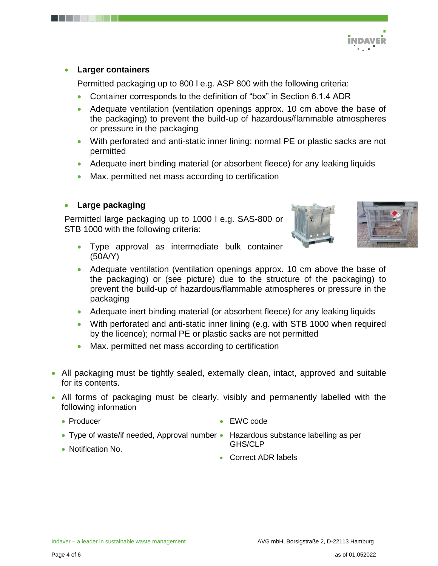

## **Larger containers**

Permitted packaging up to 800 l e.g. ASP 800 with the following criteria:

- Container corresponds to the definition of "box" in Section 6.1.4 ADR
- Adequate ventilation (ventilation openings approx. 10 cm above the base of the packaging) to prevent the build-up of hazardous/flammable atmospheres or pressure in the packaging
- With perforated and anti-static inner lining; normal PE or plastic sacks are not permitted
- Adequate inert binding material (or absorbent fleece) for any leaking liquids
- Max. permitted net mass according to certification

# **Large packaging**

Permitted large packaging up to 1000 l e.g. SAS-800 or STB 1000 with the following criteria:





- Type approval as intermediate bulk container (50A/Y)
- Adequate ventilation (ventilation openings approx. 10 cm above the base of the packaging) or (see picture) due to the structure of the packaging) to prevent the build-up of hazardous/flammable atmospheres or pressure in the packaging
- Adequate inert binding material (or absorbent fleece) for any leaking liquids
- With perforated and anti-static inner lining (e.g. with STB 1000 when required by the licence); normal PE or plastic sacks are not permitted
- Max. permitted net mass according to certification
- All packaging must be tightly sealed, externally clean, intact, approved and suitable for its contents.
- All forms of packaging must be clearly, visibly and permanently labelled with the following information
	- Producer
- EWC code
- Type of waste/if needed, Approval number Hazardous substance labelling as per
- Notification No.
- GHS/CLP
- Correct ADR labels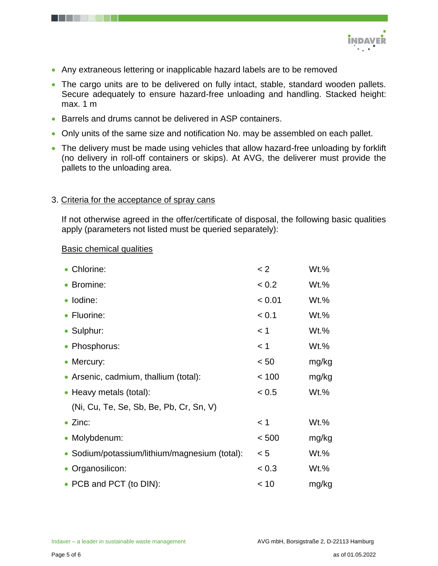

- Any extraneous lettering or inapplicable hazard labels are to be removed
- The cargo units are to be delivered on fully intact, stable, standard wooden pallets. Secure adequately to ensure hazard-free unloading and handling. Stacked height: max. 1 m
- Barrels and drums cannot be delivered in ASP containers.
- Only units of the same size and notification No. may be assembled on each pallet.
- The delivery must be made using vehicles that allow hazard-free unloading by forklift (no delivery in roll-off containers or skips). At AVG, the deliverer must provide the pallets to the unloading area.

#### 3. Criteria for the acceptance of spray cans

If not otherwise agreed in the offer/certificate of disposal, the following basic qualities apply (parameters not listed must be queried separately):

#### Basic chemical qualities

| • Chlorine:                                   | < 2    | $Wt.\%$ |
|-----------------------------------------------|--------|---------|
| • Bromine:                                    | < 0.2  | $Wt.\%$ |
| · Iodine:                                     | < 0.01 | $Wt.\%$ |
| • Fluorine:                                   | < 0.1  | $Wt.\%$ |
| • Sulphur:                                    | < 1    | $Wt.\%$ |
| • Phosphorus:                                 | < 1    | $Wt.\%$ |
| • Mercury:                                    | < 50   | mg/kg   |
| • Arsenic, cadmium, thallium (total):         | < 100  | mg/kg   |
| • Heavy metals (total):                       | < 0.5  | $Wt.\%$ |
| (Ni, Cu, Te, Se, Sb, Be, Pb, Cr, Sn, V)       |        |         |
| $\bullet$ Zinc:                               | < 1    | $Wt.\%$ |
| • Molybdenum:                                 | < 500  | mg/kg   |
| • Sodium/potassium/lithium/magnesium (total): | < 5    | $Wt.\%$ |
| • Organosilicon:                              | < 0.3  | Wt.%    |
| • PCB and PCT (to DIN):                       | < 10   | mg/kg   |